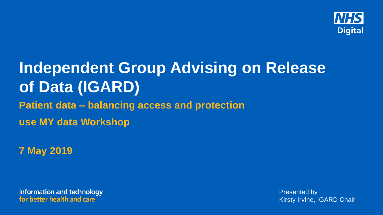

# **Independent Group Advising on Release of Data (IGARD) Patient data – balancing access and protection use MY data Workshop**

**7 May 2019**

**Information and technology** for better health and care

Presented by Kirsty Irvine, IGARD Chair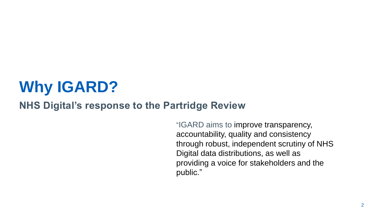# **Why IGARD?**

### **NHS Digital's response to the Partridge Review**

"IGARD aims to improve transparency, accountability, quality and consistency through robust, independent scrutiny of NHS Digital data distributions, as well as providing a voice for stakeholders and the public."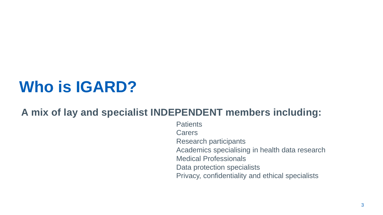# **Who is IGARD?**

### **A mix of lay and specialist INDEPENDENT members including:**

**Patients Carers** Research participants Academics specialising in health data research Medical Professionals Data protection specialists Privacy, confidentiality and ethical specialists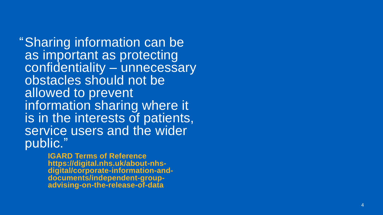"Sharing information can be as important as protecting confidentiality – unnecessary obstacles should not be allowed to prevent information sharing where it is in the interests of patients, service users and the wider public."

> **IGARD Terms of Reference https://digital.nhs.uk/about -nhs digital/corporate -information -and documents/independent -group advising -on -the -release -of -data**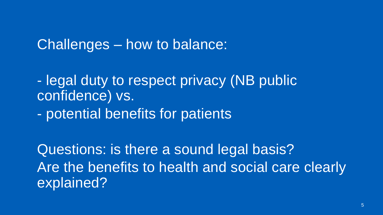## • Challenges – how to balance:

• - legal duty to respect privacy (NB public confidence) vs.

• - potential benefits for patients

• Questions: is there a sound legal basis? Are the benefits to health and social care clearly explained?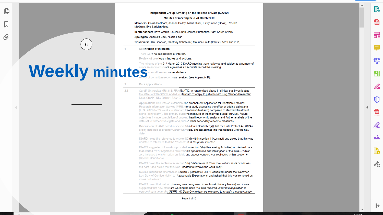Independent Group Advising on the Release of Data (IGARD)

**P** 

Ð

品

8

æ

FП

 $\mathscr{L}$ 

O

<u>n</u>

Pm.

 $x \, \mathbf{k}$ 

 $\mathbf{P}_{\mathbf{a}}$ 

Jo

 $\mapsto$ 

Minutes of meeting held 28 March 2019

Members: Sarah Baalham, Joanne Bailey, Maria Clark, Kirsty Irvine (Chair), Priscilla McGuire, Eve Sariviannidou.

In attendance: Dave Cronin, Louise Dunn, James Humphries-Hart, Karen Myers.

Apologies: Anomika Bedi, Nicola Fear,

Observers: Dan Goodwin, Geoffrey Schrecker, Maurice Smith (Items 2.1-2.9 and 2.11)

#### Declaration of interests:

6

ſĎ

O)

There were no declarations of interest.

Review of previous minutes and actions:

The minutes of the 21<sup>st</sup> March 2019 IGARD meeting were reviewed and subject to a number of minor amendments were agreed as an accurate record the meeting.<br>
In the committee recommendations:<br>
About of committee report was

#### Data applications

 $\overline{2}$ 

 $2.1$ 

Cardiff University: MR1314: FRAGMATIC: A randomised phase III clinical trial investigating the effect of FRAGMin® Added to standard Therapy In patients with lung Cancer (Presenter: Dave Cronin) NIC-291941-Z2Q1C

Application: This was an extension and amendment application for identifiable Medical Research Information Service (MRIS) for a study assessing the effect of adding dalteparin (FRAGMIN) for 24 weeks to standard treatment (trial arm) compared to standard treatment alone (control arm). The primary outcome measure of the trial was overall survival. Future objectives include completion of ongoing health economic analysis and further analysis of the data set to further investigate and publish other secondary outcome measures.

Discussion: IGARD noted in section 1(b) (Data Controller(s)) that the Data Protect Act (DPA) expiry date had expired for Cardiff University and asked that this was updated with the new date.

IGARD noted the reference to Article 9(2)(j) within section 1 (Abstract) and asked that this was updated to reference that the 'research is in the public interest'.

IGARD suggested information provided in section 5(b) (Processing Activities) on derived data that started "NHS Digital has reviewed the specification and description of the data..." which also included the information on fields and access controls was replicated within section 6 (Special Conditions).

IGARD noted the sentence in section 5(b) "Velindre NHS Trust may will not store or process the data." and asked that this was updated to remove the word 'may'.

IGARD queried the reference in section 3 (Datasets Held / Requested) under the 'Common Law Duty of Confidentiality' to 'Reasonable Expectations' and asked that this was removed as it was not relevant.

IGARD noted that historic phrasing was being used in section 4 (Privacy Notice) and it was suggested that new standard wording be used "All data required under this application is personal data under the GDPR. All Data Controllers are expected to provide a privacy notice

Page 1 of 10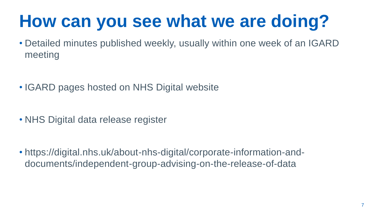# **How can you see what we are doing?**

• Detailed minutes published weekly, usually within one week of an IGARD meeting

- IGARD pages hosted on NHS Digital website
- NHS Digital data release register

• https://digital.nhs.uk/about-nhs-digital/corporate-information-anddocuments/independent-group-advising-on-the-release-of-data